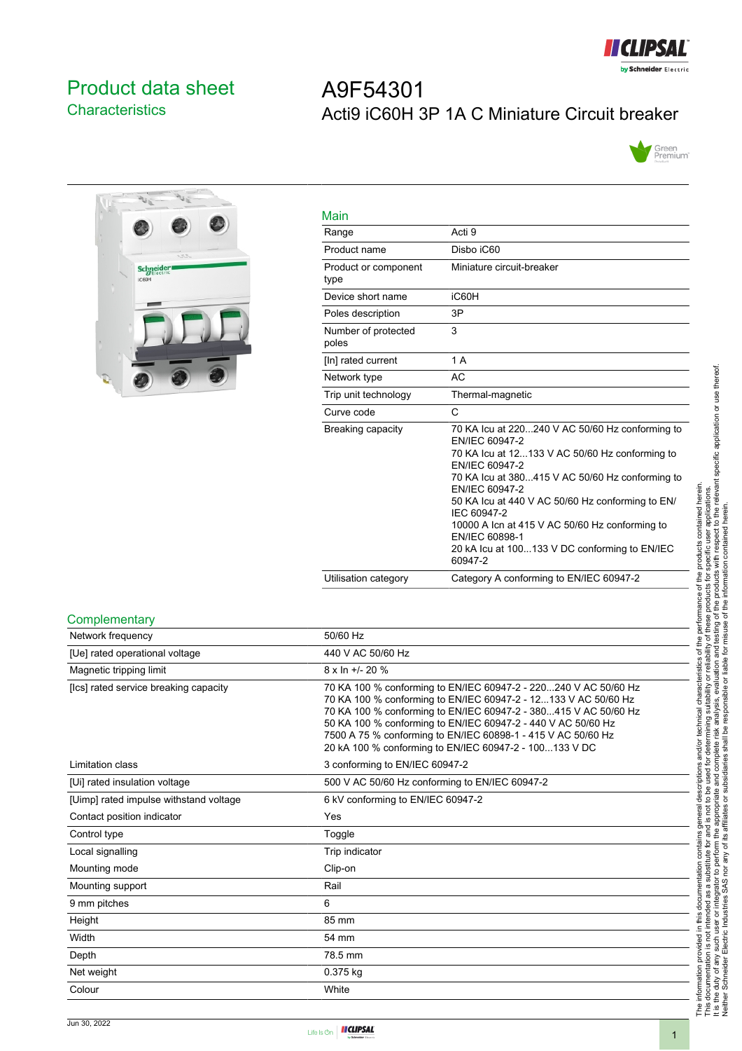

# <span id="page-0-0"></span>Product data sheet **Characteristics**

# A9F54301 Acti9 iC60H 3P 1A C Miniature Circuit breaker





| Main                         |                                                                                                                                                                                                                                                                                                                                                                                                               |
|------------------------------|---------------------------------------------------------------------------------------------------------------------------------------------------------------------------------------------------------------------------------------------------------------------------------------------------------------------------------------------------------------------------------------------------------------|
| Range                        | Acti 9                                                                                                                                                                                                                                                                                                                                                                                                        |
| Product name                 | Disbo iC60                                                                                                                                                                                                                                                                                                                                                                                                    |
| Product or component<br>type | Miniature circuit-breaker                                                                                                                                                                                                                                                                                                                                                                                     |
| Device short name            | iC60H                                                                                                                                                                                                                                                                                                                                                                                                         |
| Poles description            | 3P                                                                                                                                                                                                                                                                                                                                                                                                            |
| Number of protected<br>poles | 3                                                                                                                                                                                                                                                                                                                                                                                                             |
| [In] rated current           | 1 A                                                                                                                                                                                                                                                                                                                                                                                                           |
| Network type                 | AC                                                                                                                                                                                                                                                                                                                                                                                                            |
| Trip unit technology         | Thermal-magnetic                                                                                                                                                                                                                                                                                                                                                                                              |
| Curve code                   | C                                                                                                                                                                                                                                                                                                                                                                                                             |
| Breaking capacity            | 70 KA Icu at 220240 V AC 50/60 Hz conforming to<br>EN/IEC 60947-2<br>70 KA lcu at 12133 V AC 50/60 Hz conforming to<br>EN/IEC 60947-2<br>70 KA Icu at 380415 V AC 50/60 Hz conforming to<br>EN/IEC 60947-2<br>50 KA lcu at 440 V AC 50/60 Hz conforming to EN/<br>IEC 60947-2<br>10000 A Icn at 415 V AC 50/60 Hz conforming to<br>EN/IEC 60898-1<br>20 kA Icu at 100133 V DC conforming to EN/IEC<br>60947-2 |
| Utilisation category         | Category A conforming to EN/IEC 60947-2                                                                                                                                                                                                                                                                                                                                                                       |

#### **Complementary**

| Network frequency                      | 50/60 Hz                                                                                                                                                                                                                                                                                                                                                                                       |
|----------------------------------------|------------------------------------------------------------------------------------------------------------------------------------------------------------------------------------------------------------------------------------------------------------------------------------------------------------------------------------------------------------------------------------------------|
| [Ue] rated operational voltage         | 440 V AC 50/60 Hz                                                                                                                                                                                                                                                                                                                                                                              |
| Magnetic tripping limit                | $8 \times \ln +1$ - 20 %                                                                                                                                                                                                                                                                                                                                                                       |
| [Ics] rated service breaking capacity  | 70 KA 100 % conforming to EN/IEC 60947-2 - 220240 V AC 50/60 Hz<br>70 KA 100 % conforming to EN/IEC 60947-2 - 12133 V AC 50/60 Hz<br>70 KA 100 % conforming to EN/IEC 60947-2 - 380415 V AC 50/60 Hz<br>50 KA 100 % conforming to EN/IEC 60947-2 - 440 V AC 50/60 Hz<br>7500 A 75 % conforming to EN/IEC 60898-1 - 415 V AC 50/60 Hz<br>20 kA 100 % conforming to EN/IEC 60947-2 - 100133 V DC |
| Limitation class                       | 3 conforming to EN/IEC 60947-2                                                                                                                                                                                                                                                                                                                                                                 |
| [Ui] rated insulation voltage          | 500 V AC 50/60 Hz conforming to EN/IEC 60947-2                                                                                                                                                                                                                                                                                                                                                 |
| [Uimp] rated impulse withstand voltage | 6 kV conforming to EN/IEC 60947-2                                                                                                                                                                                                                                                                                                                                                              |
| Contact position indicator             | Yes                                                                                                                                                                                                                                                                                                                                                                                            |
| Control type                           | Toggle                                                                                                                                                                                                                                                                                                                                                                                         |
| Local signalling                       | Trip indicator                                                                                                                                                                                                                                                                                                                                                                                 |
| Mounting mode                          | Clip-on                                                                                                                                                                                                                                                                                                                                                                                        |
| Mounting support                       | Rail                                                                                                                                                                                                                                                                                                                                                                                           |
| 9 mm pitches                           | 6                                                                                                                                                                                                                                                                                                                                                                                              |
| Height                                 | 85 mm                                                                                                                                                                                                                                                                                                                                                                                          |
| Width                                  | 54 mm                                                                                                                                                                                                                                                                                                                                                                                          |
| Depth                                  | 78.5 mm                                                                                                                                                                                                                                                                                                                                                                                        |
| Net weight                             | 0.375 kg                                                                                                                                                                                                                                                                                                                                                                                       |
| Colour                                 | White                                                                                                                                                                                                                                                                                                                                                                                          |